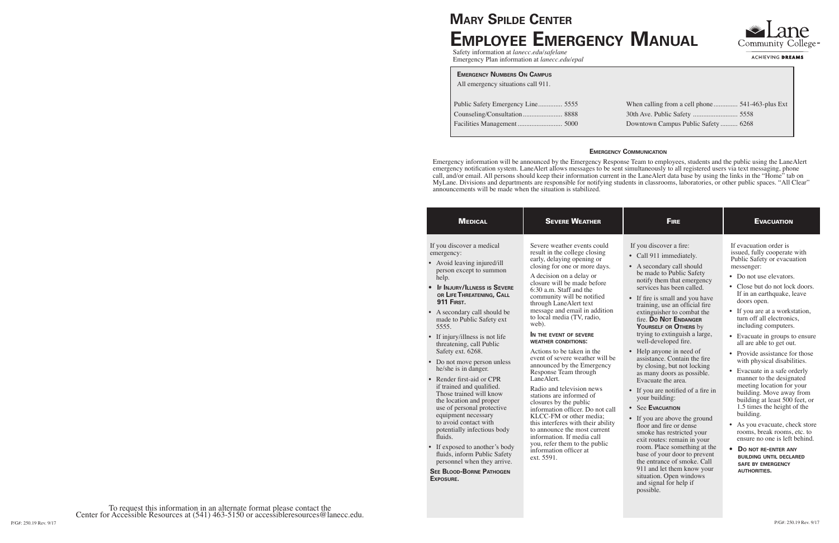| <b>MEDICAL</b>                                                                                                                                                                                                                                                                                                                                                                                                                                                                                                                                                                                                                                                                                                                                                                                               | <b>SEVERE WEATHER</b>                                                                                                                                                                                                                                                                                                                                                                                                                                                                                                                                                                                                                                                                                                                                                                                                                                                          | <b>FIRE</b>                                                                                                                                                                                                                                                                                                                                                                                                                                                                                                                                                                                                                                                                                                                                                                                                                                                                                                                            | <b>EVACUATION</b>                                                                                                                                                                                                                                                                                                                                                                                                                                                                                                                                                                                                                                                                                                                                                                                                                                                        |
|--------------------------------------------------------------------------------------------------------------------------------------------------------------------------------------------------------------------------------------------------------------------------------------------------------------------------------------------------------------------------------------------------------------------------------------------------------------------------------------------------------------------------------------------------------------------------------------------------------------------------------------------------------------------------------------------------------------------------------------------------------------------------------------------------------------|--------------------------------------------------------------------------------------------------------------------------------------------------------------------------------------------------------------------------------------------------------------------------------------------------------------------------------------------------------------------------------------------------------------------------------------------------------------------------------------------------------------------------------------------------------------------------------------------------------------------------------------------------------------------------------------------------------------------------------------------------------------------------------------------------------------------------------------------------------------------------------|----------------------------------------------------------------------------------------------------------------------------------------------------------------------------------------------------------------------------------------------------------------------------------------------------------------------------------------------------------------------------------------------------------------------------------------------------------------------------------------------------------------------------------------------------------------------------------------------------------------------------------------------------------------------------------------------------------------------------------------------------------------------------------------------------------------------------------------------------------------------------------------------------------------------------------------|--------------------------------------------------------------------------------------------------------------------------------------------------------------------------------------------------------------------------------------------------------------------------------------------------------------------------------------------------------------------------------------------------------------------------------------------------------------------------------------------------------------------------------------------------------------------------------------------------------------------------------------------------------------------------------------------------------------------------------------------------------------------------------------------------------------------------------------------------------------------------|
| If you discover a medical<br>emergency:<br>• Avoid leaving injured/ill<br>person except to summon<br>help.<br><b>IF INJURY/ILLNESS IS SEVERE</b><br>OR LIFE THREATENING, CALL<br><b>911 FIRST.</b><br>• A secondary call should be<br>made to Public Safety ext<br>5555.<br>• If injury/illness is not life<br>threatening, call Public<br>Safety ext. 6268.<br>• Do not move person unless<br>he/she is in danger.<br>• Render first-aid or CPR<br>if trained and qualified.<br>Those trained will know<br>the location and proper<br>use of personal protective<br>equipment necessary<br>to avoid contact with<br>potentially infectious body<br>fluids.<br>• If exposed to another's body<br>fluids, inform Public Safety<br>personnel when they arrive.<br><b>SEE BLOOD-BORNE PATHOGEN</b><br>EXPOSURE. | Severe weather events could<br>result in the college closing<br>early, delaying opening or<br>closing for one or more days.<br>A decision on a delay or<br>closure will be made before<br>6:30 a.m. Staff and the<br>community will be notified<br>through LaneAlert text<br>message and email in addition<br>to local media (TV, radio,<br>web).<br>IN THE EVENT OF SEVERE<br><b>WEATHER CONDITIONS:</b><br>Actions to be taken in the<br>event of severe weather will be<br>announced by the Emergency<br>Response Team through<br>LaneAlert.<br>Radio and television news<br>stations are informed of<br>closures by the public<br>information officer. Do not call<br>KLCC-FM or other media:<br>this interferes with their ability<br>to announce the most current<br>information. If media call<br>you, refer them to the public<br>information officer at<br>ext. 5591. | If you discover a fire:<br>• Call 911 immediately.<br>• A secondary call should<br>be made to Public Safety<br>notify them that emergency<br>services has been called.<br>• If fire is small and you have<br>training, use an official fire<br>extinguisher to combat the<br>fire. Do Not ENDANGER<br>YOURSELF OR OTHERS by<br>trying to extinguish a large,<br>well-developed fire.<br>• Help anyone in need of<br>assistance. Contain the fire<br>by closing, but not locking<br>as many doors as possible.<br>Evacuate the area.<br>• If you are notified of a fire in<br>your building:<br>• See EVACUATION<br>• If you are above the ground<br>floor and fire or dense<br>smoke has restricted your<br>exit routes: remain in your<br>room. Place something at the<br>base of your door to prevent<br>the entrance of smoke. Call<br>911 and let them know your<br>situation. Open windows<br>and signal for help if<br>possible. | If evacuation order is<br>issued, fully cooperate with<br>Public Safety or evacuation<br>messenger:<br>• Do not use elevators.<br>• Close but do not lock doors.<br>If in an earthquake, leave<br>doors open.<br>• If you are at a workstation,<br>turn off all electronics,<br>including computers.<br>• Evacuate in groups to ensure<br>all are able to get out.<br>• Provide assistance for those<br>with physical disabilities.<br>• Evacuate in a safe orderly<br>manner to the designated<br>meeting location for your<br>building. Move away from<br>building at least 500 feet, or<br>1.5 times the height of the<br>building.<br>• As you evacuate, check store<br>rooms, break rooms, etc. to<br>ensure no one is left behind.<br>$\bullet$<br><b>DO NOT RE-ENTER ANY</b><br><b>BUILDING UNTIL DECLARED</b><br><b>SAFE BY EMERGENCY</b><br><b>AUTHORITIES.</b> |

# **Mary Spilde Center Employee Emergency Manual**

Safety information at *lanecc.edu/safelane* Emergency Plan information at *lanecc.edu/epal*

# **Emergency Communication**

Emergency information will be announced by the Emergency Response Team to employees, students and the public using the LaneAlert emergency notification system. LaneAlert allows messages to be sent simultaneously to all registered users via text messaging, phone call, and/or email. All persons should keep their information current in the LaneAlert data base by using the links in the "Home" tab on MyLane. Divisions and departments are responsible for notifying students in classrooms, laboratories, or other public spaces. "All Clear" announcements will be made when the situation is stabilized.

#### **Emergency Numbers On Campus**

| All emergency situations call 911. |  |
|------------------------------------|--|
| Public Safety Emergency Line 5555  |  |
| Counseling/Consultation 8888       |  |
|                                    |  |
|                                    |  |

| Downtown Campus Public Safety  6268 |  |
|-------------------------------------|--|



ACHIEVING DREAMS